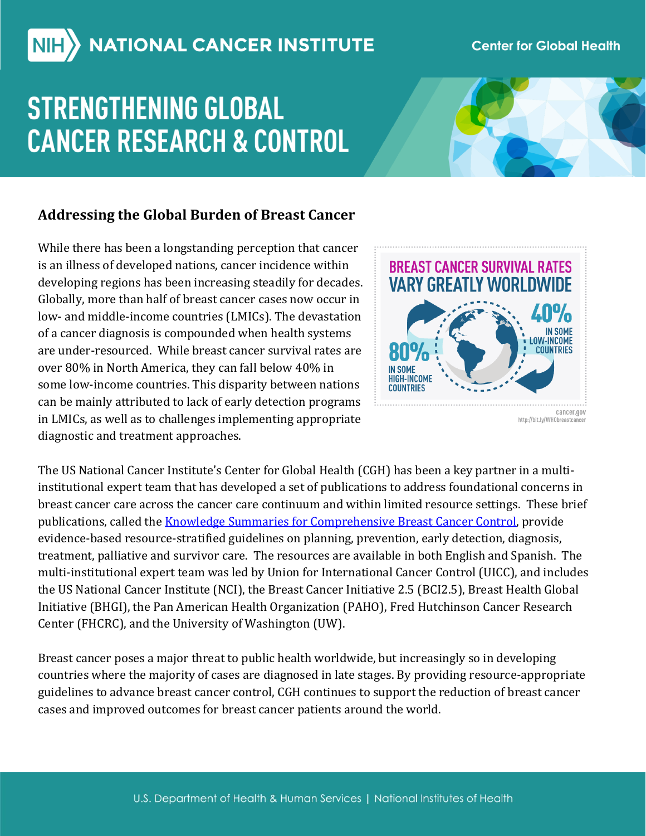# NIH ) NATIONAL CANCER INSTITUTE

### **Center for Global Health**

# **STRENGTHENING GLOBAL CANCER RESEARCH & CONTROL**



## **Addressing the Global Burden of Breast Cancer**

While there has been a longstanding perception that cancer is an illness of developed nations, cancer incidence within developing regions has been increasing steadily for decades. Globally, more than half of breast cancer cases now occur in low- and middle-income countries (LMICs). The devastation of a cancer diagnosis is compounded when health systems are under-resourced. While breast cancer survival rates are over 80% in North America, they can fall below 40% in some low-income countries. This disparity between nations can be mainly attributed to lack of early detection programs in LMICs, as well as to challenges implementing appropriate diagnostic and treatment approaches.



The US National Cancer Institute's Center for Global Health (CGH) has been a key partner in a multiinstitutional expert team that has developed a set of publications to address foundational concerns in breast cancer care across the cancer care continuum and within limited resource settings. These brief publications, called the **Knowledge Summaries for Comprehensive Breast Cancer Control**, provide evidence-based resource-stratified guidelines on planning, prevention, early detection, diagnosis, treatment, palliative and survivor care. The resources are available in both English and Spanish. The multi-institutional expert team was led by Union for International Cancer Control (UICC), and includes the US National Cancer Institute (NCI), the Breast Cancer Initiative 2.5 (BCI2.5), Breast Health Global Initiative (BHGI), the Pan American Health Organization (PAHO), Fred Hutchinson Cancer Research Center (FHCRC), and the University of Washington (UW).

Breast cancer poses a major threat to public health worldwide, but increasingly so in developing countries where the majority of cases are diagnosed in late stages. By providing resource-appropriate guidelines to advance breast cancer control, CGH continues to support the reduction of breast cancer cases and improved outcomes for breast cancer patients around the world.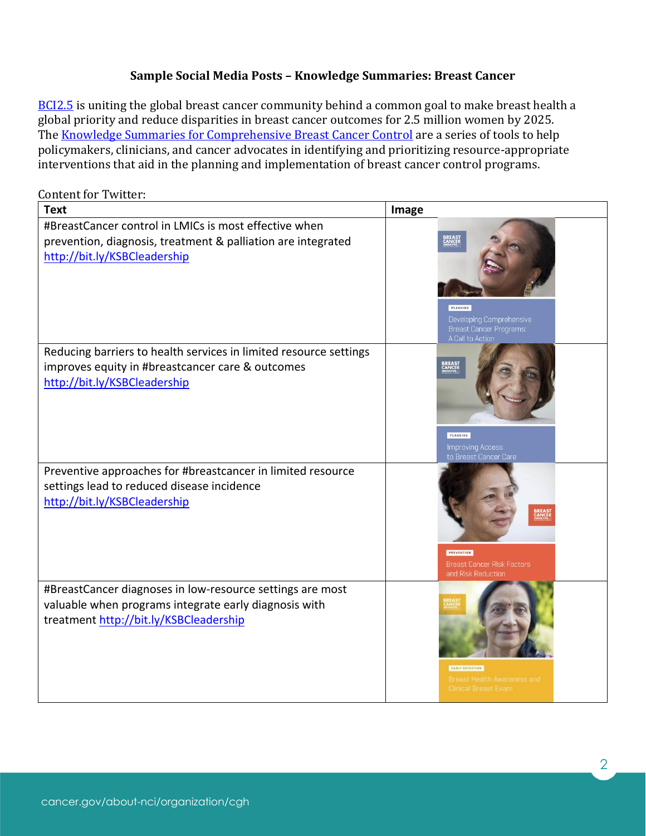### **Sample Social Media Posts – Knowledge Summaries: Breast Cancer**

[BCI2.5](https://www.fredhutch.org/en/labs/phs/projects/breast-cancer-initiative_2-5.html) is uniting the global breast cancer community behind a common goal to make breast health a global priority and reduce disparities in breast cancer outcomes for 2.5 million women by 2025. The [Knowledge Summaries for Comprehensive Breast Cancer Control](http://bit.ly/KSBCleadership) are a series of tools to help policymakers, clinicians, and cancer advocates in identifying and prioritizing resource-appropriate interventions that aid in the planning and implementation of breast cancer control programs.

# Content for Twitter: **Text Image** #BreastCancer control in LMICs is most effective when prevention, diagnosis, treatment & palliation are integrated <http://bit.ly/KSBCleadership> PLANNING Breast Cancer Programs<br>A Call to Action Reducing barriers to health services in limited resource settings **BREAS**<br>CANCEI improves equity in #breastcancer care & outcomes <http://bit.ly/KSBCleadership> PLANNING Preventive approaches for #breastcancer in limited resource settings lead to reduced disease incidence <http://bit.ly/KSBCleadership> PREVENTION and Risk Reduction #BreastCancer diagnoses in low-resource settings are most valuable when programs integrate early diagnosis with treatment<http://bit.ly/KSBCleadership>

2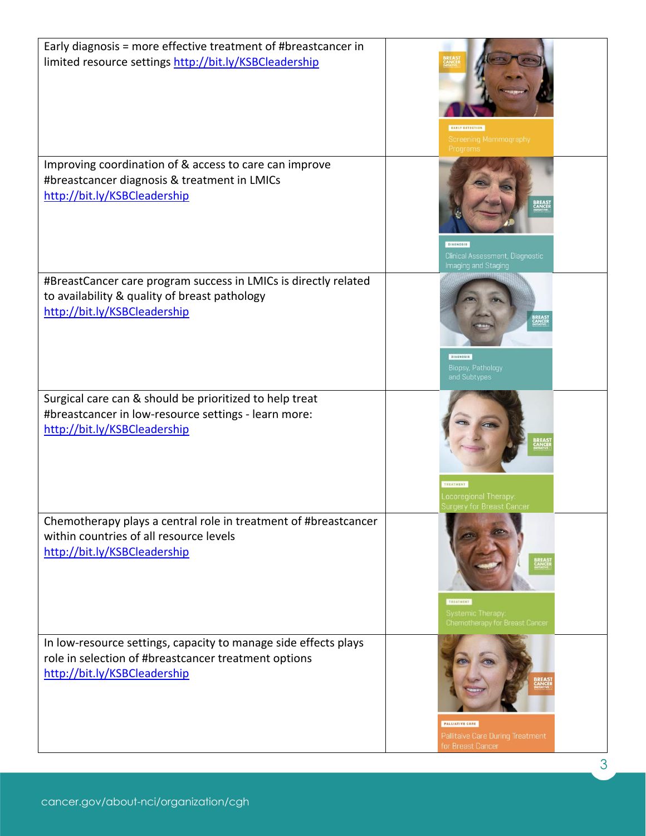| Early diagnosis = more effective treatment of #breastcancer in<br>limited resource settings http://bit.ly/KSBCleadership                   | EARLY DETECTION<br>Screening Mammography<br>Programs                                      |
|--------------------------------------------------------------------------------------------------------------------------------------------|-------------------------------------------------------------------------------------------|
| Improving coordination of & access to care can improve                                                                                     | <b>DIAGNOSIS</b>                                                                          |
| #breastcancer diagnosis & treatment in LMICs                                                                                               | Clinical Assessment, Diagnostic                                                           |
| http://bit.ly/KSBCleadership                                                                                                               | Imaging and Staging                                                                       |
| #BreastCancer care program success in LMICs is directly related                                                                            | <b>BIAGNOSIS</b>                                                                          |
| to availability & quality of breast pathology                                                                                              | Biopsy, Pathology                                                                         |
| http://bit.ly/KSBCleadership                                                                                                               | and Subtypes                                                                              |
| Surgical care can & should be prioritized to help treat                                                                                    | TREATMENT                                                                                 |
| #breastcancer in low-resource settings - learn more:                                                                                       | Locoregional Therapy                                                                      |
| http://bit.ly/KSBCleadership                                                                                                               | Surgery for Breast Cancer                                                                 |
| Chemotherapy plays a central role in treatment of #breastcancer<br>within countries of all resource levels<br>http://bit.ly/KSBCleadership | <b>BREAS</b><br>SANSH<br>TREATMENT<br>Systemic Therapy:<br>Chemotherapy for Breast Cancer |
| In low-resource settings, capacity to manage side effects plays                                                                            | PALLIATIVE CARE                                                                           |
| role in selection of #breastcancer treatment options                                                                                       | Pallitaive Care During Treatment                                                          |
| http://bit.ly/KSBCleadership                                                                                                               | for Breast Cancer                                                                         |